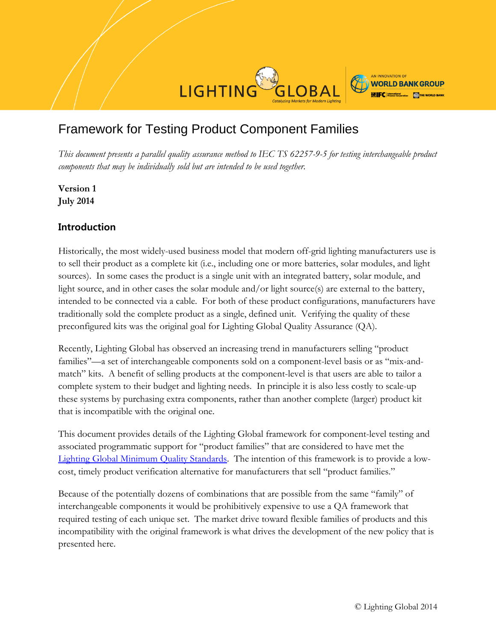

# Framework for Testing Product Component Families

*This document presents a parallel quality assurance method to IEC TS 62257-9-5 for testing interchangeable product components that may be individually sold but are intended to be used together.*

**Version 1 July 2014**

### **Introduction**

Historically, the most widely-used business model that modern off-grid lighting manufacturers use is to sell their product as a complete kit (i.e., including one or more batteries, solar modules, and light sources). In some cases the product is a single unit with an integrated battery, solar module, and light source, and in other cases the solar module and/or light source(s) are external to the battery, intended to be connected via a cable. For both of these product configurations, manufacturers have traditionally sold the complete product as a single, defined unit. Verifying the quality of these preconfigured kits was the original goal for Lighting Global Quality Assurance (QA).

Recently, Lighting Global has observed an increasing trend in manufacturers selling "product families"—a set of interchangeable components sold on a component-level basis or as "mix-andmatch" kits. A benefit of selling products at the component-level is that users are able to tailor a complete system to their budget and lighting needs. In principle it is also less costly to scale-up these systems by purchasing extra components, rather than another complete (larger) product kit that is incompatible with the original one.

This document provides details of the Lighting Global framework for component-level testing and associated programmatic support for "product families" that are considered to have met the [Lighting Global Minimum Quality Standards.](http://www.lightingglobal.org/activities/qa/standards/) The intention of this framework is to provide a lowcost, timely product verification alternative for manufacturers that sell "product families."

Because of the potentially dozens of combinations that are possible from the same "family" of interchangeable components it would be prohibitively expensive to use a QA framework that required testing of each unique set. The market drive toward flexible families of products and this incompatibility with the original framework is what drives the development of the new policy that is presented here.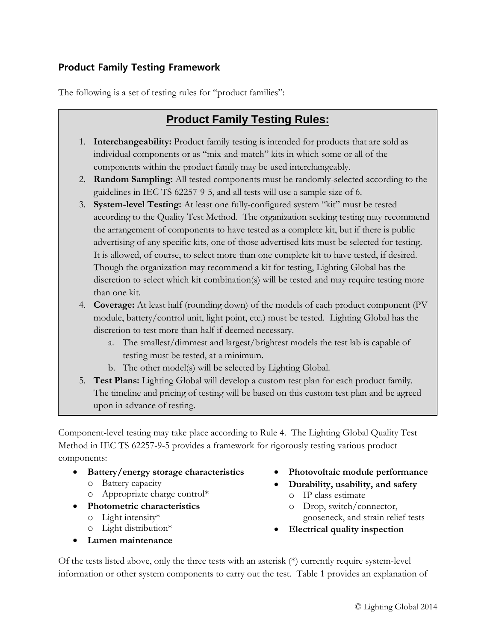### **Product Family Testing Framework**

The following is a set of testing rules for "product families":

## **Product Family Testing Rules:**

- 1. **Interchangeability:** Product family testing is intended for products that are sold as individual components or as "mix-and-match" kits in which some or all of the components within the product family may be used interchangeably.
- 2. **Random Sampling:** All tested components must be randomly-selected according to the guidelines in IEC TS 62257-9-5, and all tests will use a sample size of 6.
- 3. **System-level Testing:** At least one fully-configured system "kit" must be tested according to the Quality Test Method. The organization seeking testing may recommend the arrangement of components to have tested as a complete kit, but if there is public advertising of any specific kits, one of those advertised kits must be selected for testing. It is allowed, of course, to select more than one complete kit to have tested, if desired. Though the organization may recommend a kit for testing, Lighting Global has the discretion to select which kit combination(s) will be tested and may require testing more than one kit.
- 4. **Coverage:** At least half (rounding down) of the models of each product component (PV module, battery/control unit, light point, etc.) must be tested. Lighting Global has the discretion to test more than half if deemed necessary.
	- a. The smallest/dimmest and largest/brightest models the test lab is capable of testing must be tested, at a minimum.
	- b. The other model(s) will be selected by Lighting Global.
- 5. **Test Plans:** Lighting Global will develop a custom test plan for each product family. The timeline and pricing of testing will be based on this custom test plan and be agreed upon in advance of testing.

Component-level testing may take place according to Rule 4. The Lighting Global Quality Test Method in IEC TS 62257-9-5 provides a framework for rigorously testing various product components:

- **Battery/energy storage characteristics**
	- o Battery capacity
	- o Appropriate charge control\*
- **Photometric characteristics**
	- o Light intensity\*
	- o Light distribution\*
- **Lumen maintenance**
- **Photovoltaic module performance**
- **Durability, usability, and safety**
	- o IP class estimate
	- o Drop, switch/connector, gooseneck, and strain relief tests
- **Electrical quality inspection**

Of the tests listed above, only the three tests with an asterisk (\*) currently require system-level information or other system components to carry out the test. Table 1 provides an explanation of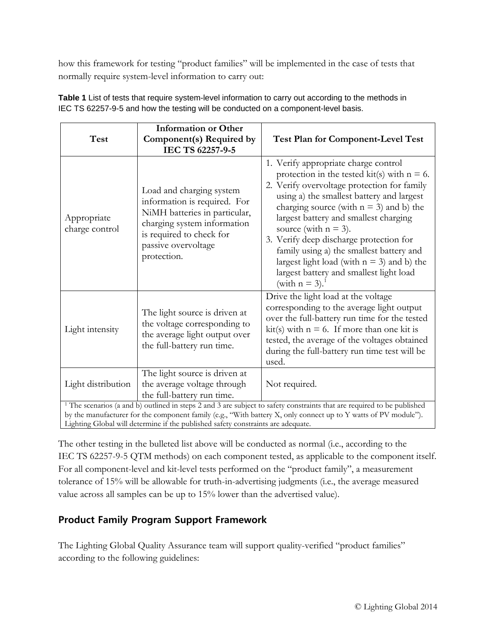how this framework for testing "product families" will be implemented in the case of tests that normally require system-level information to carry out:

|                                                                                                                                    | <b>Information or Other</b>                                                                                                                                                                |                                                                                                                                                                                                                                                                                                                                                                                                                                                                                                                          |
|------------------------------------------------------------------------------------------------------------------------------------|--------------------------------------------------------------------------------------------------------------------------------------------------------------------------------------------|--------------------------------------------------------------------------------------------------------------------------------------------------------------------------------------------------------------------------------------------------------------------------------------------------------------------------------------------------------------------------------------------------------------------------------------------------------------------------------------------------------------------------|
| Test                                                                                                                               | Component(s) Required by                                                                                                                                                                   | <b>Test Plan for Component-Level Test</b>                                                                                                                                                                                                                                                                                                                                                                                                                                                                                |
|                                                                                                                                    | IEC TS 62257-9-5                                                                                                                                                                           |                                                                                                                                                                                                                                                                                                                                                                                                                                                                                                                          |
| Appropriate<br>charge control                                                                                                      | Load and charging system<br>information is required. For<br>NiMH batteries in particular,<br>charging system information<br>is required to check for<br>passive overvoltage<br>protection. | 1. Verify appropriate charge control<br>protection in the tested kit(s) with $n = 6$ .<br>2. Verify overvoltage protection for family<br>using a) the smallest battery and largest<br>charging source (with $n = 3$ ) and b) the<br>largest battery and smallest charging<br>source (with $n = 3$ ).<br>3. Verify deep discharge protection for<br>family using a) the smallest battery and<br>largest light load (with $n = 3$ ) and b) the<br>largest battery and smallest light load<br>(with $n = 3$ ). <sup>1</sup> |
| Light intensity                                                                                                                    | The light source is driven at<br>the voltage corresponding to<br>the average light output over<br>the full-battery run time.                                                               | Drive the light load at the voltage<br>corresponding to the average light output<br>over the full-battery run time for the tested<br>kit(s) with $n = 6$ . If more than one kit is<br>tested, the average of the voltages obtained<br>during the full-battery run time test will be<br>used.                                                                                                                                                                                                                             |
| Light distribution                                                                                                                 | The light source is driven at<br>the average voltage through<br>the full-battery run time.                                                                                                 | Not required.                                                                                                                                                                                                                                                                                                                                                                                                                                                                                                            |
| <sup>1</sup> The scenarios (a and b) outlined in steps 2 and 3 are subject to safety constraints that are required to be published |                                                                                                                                                                                            |                                                                                                                                                                                                                                                                                                                                                                                                                                                                                                                          |
| by the manufacturer for the component family (e.g., "With battery X, only connect up to Y watts of PV module").                    |                                                                                                                                                                                            |                                                                                                                                                                                                                                                                                                                                                                                                                                                                                                                          |
| Lighting Global will determine if the published safety constraints are adequate.                                                   |                                                                                                                                                                                            |                                                                                                                                                                                                                                                                                                                                                                                                                                                                                                                          |

**Table 1** List of tests that require system-level information to carry out according to the methods in IEC TS 62257-9-5 and how the testing will be conducted on a component-level basis.

The other testing in the bulleted list above will be conducted as normal (i.e., according to the IEC TS 62257-9-5 QTM methods) on each component tested, as applicable to the component itself. For all component-level and kit-level tests performed on the "product family", a measurement tolerance of 15% will be allowable for truth-in-advertising judgments (i.e., the average measured

## value across all samples can be up to 15% lower than the advertised value).

### **Product Family Program Support Framework**

The Lighting Global Quality Assurance team will support quality-verified "product families" according to the following guidelines: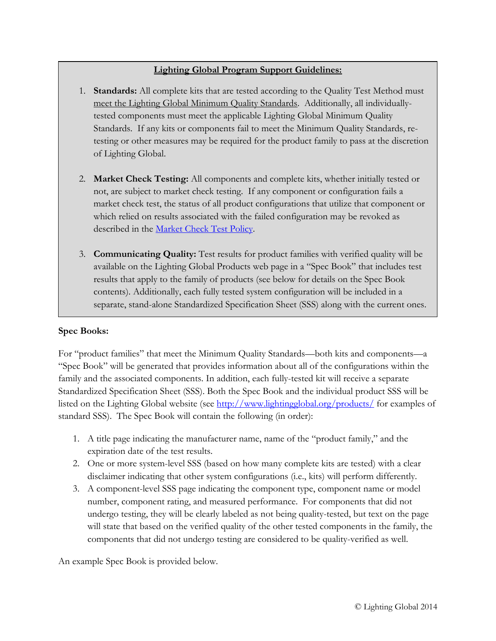#### **Lighting Global Program Support Guidelines:**

- 1. **Standards:** All complete kits that are tested according to the Quality Test Method must meet the Lighting Global Minimum Quality Standards. Additionally, all individuallytested components must meet the applicable Lighting Global Minimum Quality Standards. If any kits or components fail to meet the Minimum Quality Standards, retesting or other measures may be required for the product family to pass at the discretion of Lighting Global.
- 2. **Market Check Testing:** All components and complete kits, whether initially tested or not, are subject to market check testing. If any component or configuration fails a market check test, the status of all product configurations that utilize that component or which relied on results associated with the failed configuration may be revoked as described in the [Market Check Test Policy.](http://www.lightingglobal.org/activities/qa/testmethods/)
- 3. **Communicating Quality:** Test results for product families with verified quality will be available on the Lighting Global Products web page in a "Spec Book" that includes test results that apply to the family of products (see below for details on the Spec Book contents). Additionally, each fully tested system configuration will be included in a separate, stand-alone Standardized Specification Sheet (SSS) along with the current ones.

#### **Spec Books:**

For "product families" that meet the Minimum Quality Standards—both kits and components—a "Spec Book" will be generated that provides information about all of the configurations within the family and the associated components. In addition, each fully-tested kit will receive a separate Standardized Specification Sheet (SSS). Both the Spec Book and the individual product SSS will be listed on the Lighting Global website (see<http://www.lightingglobal.org/products/> for examples of standard SSS). The Spec Book will contain the following (in order):

- 1. A title page indicating the manufacturer name, name of the "product family," and the expiration date of the test results.
- 2. One or more system-level SSS (based on how many complete kits are tested) with a clear disclaimer indicating that other system configurations (i.e., kits) will perform differently.
- 3. A component-level SSS page indicating the component type, component name or model number, component rating, and measured performance. For components that did not undergo testing, they will be clearly labeled as not being quality-tested, but text on the page will state that based on the verified quality of the other tested components in the family, the components that did not undergo testing are considered to be quality-verified as well.

An example Spec Book is provided below.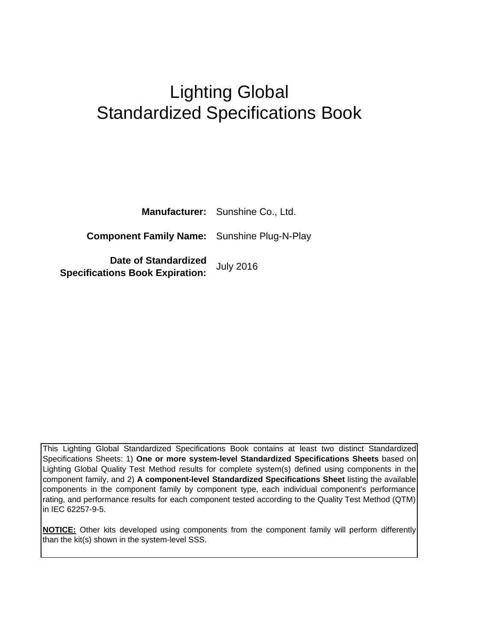# Lighting Global Standardized Specifications Book

|                                                                       | <b>Manufacturer:</b> Sunshine Co., Ltd. |
|-----------------------------------------------------------------------|-----------------------------------------|
| <b>Component Family Name:</b> Sunshine Plug-N-Play                    |                                         |
| <b>Date of Standardized</b><br><b>Specifications Book Expiration:</b> | <b>July 2016</b>                        |

This Lighting Global Standardized Specifications Book contains at least two distinct Standardized Specifications Sheets: 1) **One or more system-level Standardized Specifications Sheets** based on Lighting Global Quality Test Method results for complete system(s) defined using components in the component family, and 2) **A component-level Standardized Specifications Sheet** listing the available components in the component family by component type, each individual component's performance rating, and performance results for each component tested according to the Quality Test Method (QTM) in IEC 62257-9-5.

**NOTICE:** Other kits developed using components from the component family will perform differently than the kit(s) shown in the system-level SSS.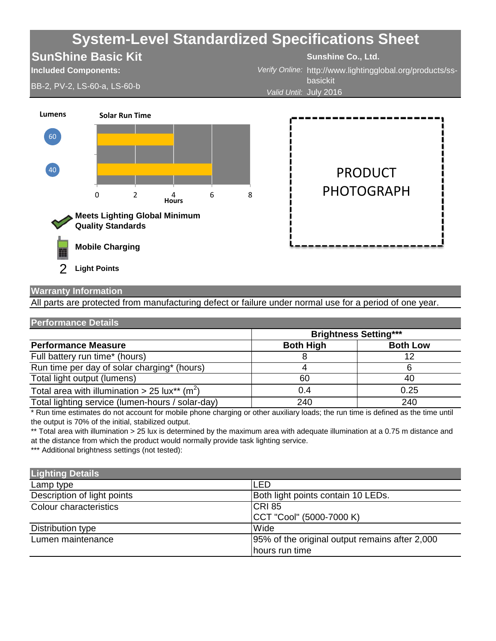

# **Warranty Information**

All parts are protected from manufacturing defect or failure under normal use for a period of one year.

| <b>Performance Details</b>                                |                              |                 |
|-----------------------------------------------------------|------------------------------|-----------------|
|                                                           | <b>Brightness Setting***</b> |                 |
| <b>Performance Measure</b>                                | <b>Both High</b>             | <b>Both Low</b> |
| Full battery run time* (hours)                            |                              | 12              |
| Run time per day of solar charging* (hours)               |                              | ห               |
| Total light output (lumens)                               | 60                           | 40              |
| Total area with illumination > 25 lux** (m <sup>2</sup> ) | 0.4                          | 0.25            |
| Total lighting service (lumen-hours / solar-day)          | 240                          | 240             |

\* Run time estimates do not account for mobile phone charging or other auxiliary loads; the run time is defined as the time until the output is 70% of the initial, stabilized output.

\*\* Total area with illumination > 25 lux is determined by the maximum area with adequate illumination at a 0.75 m distance and at the distance from which the product would normally provide task lighting service.

\*\*\* Additional brightness settings (not tested):

| <b>Lighting Details</b>     |                                                 |
|-----------------------------|-------------------------------------------------|
| Lamp type                   | <b>LED</b>                                      |
| Description of light points | Both light points contain 10 LEDs.              |
| Colour characteristics      | <b>CRI 85</b>                                   |
|                             | CCT "Cool" (5000-7000 K)                        |
| Distribution type           | Wide                                            |
| Lumen maintenance           | 195% of the original output remains after 2,000 |
|                             | hours run time                                  |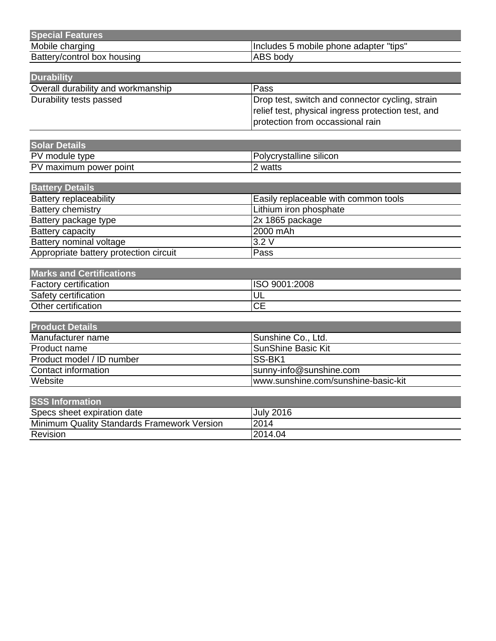| <b>Special Features</b>     |                                        |
|-----------------------------|----------------------------------------|
| Mobile charging             | Includes 5 mobile phone adapter "tips" |
| Battery/control box housing | <b>ABS</b> body                        |

| <b>Durability</b>                  |                                                                                                       |
|------------------------------------|-------------------------------------------------------------------------------------------------------|
| Overall durability and workmanship | Pass                                                                                                  |
| Durability tests passed            | Drop test, switch and connector cycling, strain<br>relief test, physical ingress protection test, and |
|                                    | protection from occassional rain                                                                      |

| <b>Solar Details</b>   |                         |
|------------------------|-------------------------|
| PV module type         | Polycrystalline silicon |
| PV maximum power point | watts                   |

| <b>Battery Details</b>                 |                                      |
|----------------------------------------|--------------------------------------|
| <b>Battery replaceability</b>          | Easily replaceable with common tools |
| Battery chemistry                      | Lithium iron phosphate               |
| Battery package type                   | $2x$ 1865 package                    |
| Battery capacity                       | 2000 mAh                             |
| Battery nominal voltage                | 3.2V                                 |
| Appropriate battery protection circuit | Pass                                 |

| Marks and Certifications     |               |  |
|------------------------------|---------------|--|
| <b>Factory certification</b> | ISO 9001:2008 |  |
| Safety certification         | י טע          |  |
| Other certification          | CЕ            |  |

| <b>Product Details</b>    |                                     |
|---------------------------|-------------------------------------|
| Manufacturer name         | Sunshine Co., Ltd.                  |
| Product name              | SunShine Basic Kit                  |
| Product model / ID number | ISS-BK1                             |
| Contact information       | sunny-info@sunshine.com             |
| Website                   | www.sunshine.com/sunshine-basic-kit |

| <b>SSS Information</b>                      |                  |
|---------------------------------------------|------------------|
| Specs sheet expiration date                 | <b>July 2016</b> |
| Minimum Quality Standards Framework Version | 2014             |
| <b>Revision</b>                             | 2014.04          |